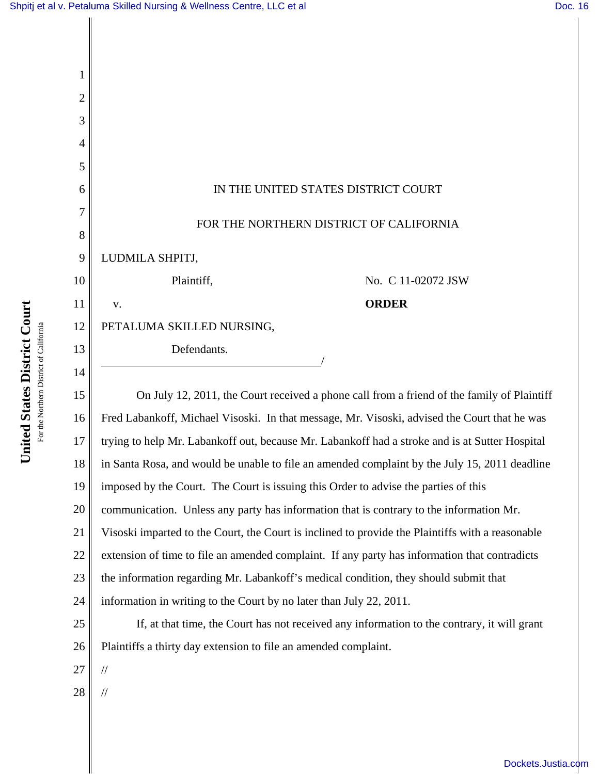

United States District Court **United States District Court** For the Northern District of California For the Northern District of California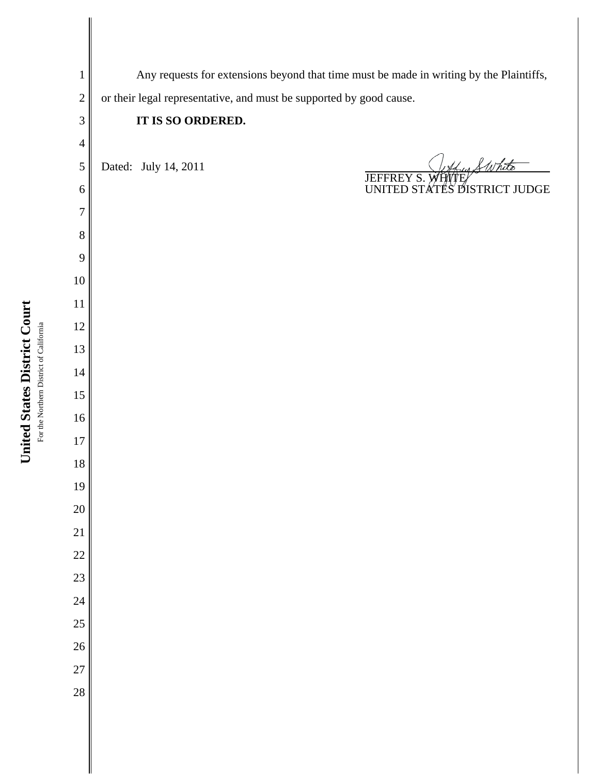| $\mathbf{1}$   | Any requests for extensions beyond that time must be made in writing by the Plaintiffs, |  |  |
|----------------|-----------------------------------------------------------------------------------------|--|--|
| $\overline{2}$ | or their legal representative, and must be supported by good cause.                     |  |  |
| 3              | IT IS SO ORDERED.                                                                       |  |  |
| $\overline{4}$ |                                                                                         |  |  |
| 5              | trus & White<br>Dated: July 14, 2011                                                    |  |  |
| 6              | JEFFREY S. WHITE WARE TO UNITED STATES DISTRICT JUDGE                                   |  |  |
| 7              |                                                                                         |  |  |
| $8\,$          |                                                                                         |  |  |
| 9              |                                                                                         |  |  |
| $10\,$         |                                                                                         |  |  |
| 11             |                                                                                         |  |  |
| 12             |                                                                                         |  |  |
| 13             |                                                                                         |  |  |
| 14             |                                                                                         |  |  |
| 15             |                                                                                         |  |  |
| 16             |                                                                                         |  |  |
| $17\,$         |                                                                                         |  |  |
| $18\,$         |                                                                                         |  |  |
| 19             |                                                                                         |  |  |
| 20             |                                                                                         |  |  |
| 21             |                                                                                         |  |  |
| 22             |                                                                                         |  |  |
| 23             |                                                                                         |  |  |
| 24             |                                                                                         |  |  |
| 25             |                                                                                         |  |  |
| 26             |                                                                                         |  |  |
| 27             |                                                                                         |  |  |
| 28             |                                                                                         |  |  |
|                |                                                                                         |  |  |
|                |                                                                                         |  |  |